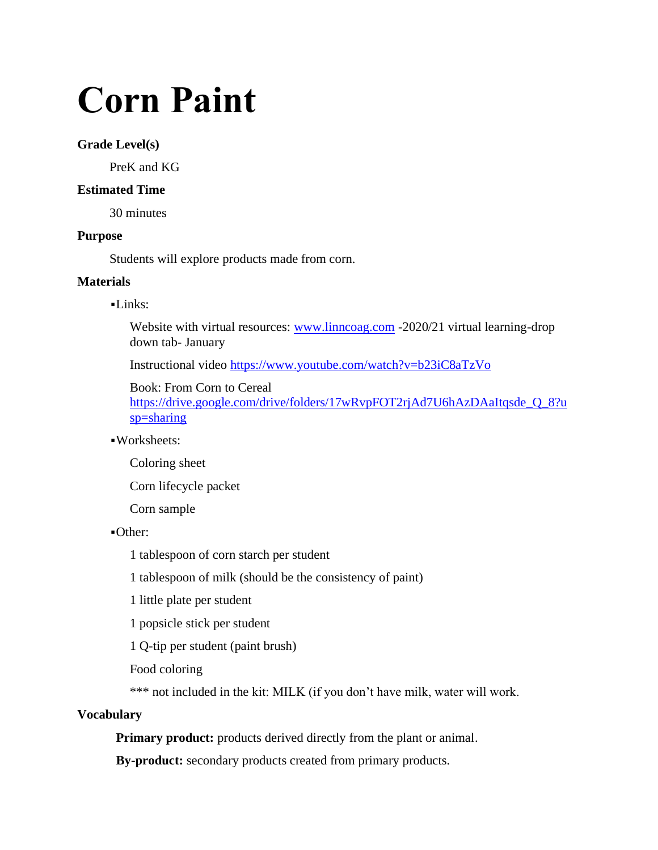# **Corn Paint**

## **Grade Level(s)**

PreK and KG

## **Estimated Time**

30 minutes

## **Purpose**

Students will explore products made from corn.

## **Materials**

## $-Links:$

Website with virtual resources: [www.linncoag.com](http://www.linncoag.com/) -2020/21 virtual learning-drop down tab- January

Instructional video <https://www.youtube.com/watch?v=b23iC8aTzVo>

Book: From Corn to Cereal https://drive.google.com/drive/folders/17wRvpFOT2rjAd7U6hAzDAaItqsde\_O\_8?u [sp=sharing](https://drive.google.com/drive/folders/17wRvpFOT2rjAd7U6hAzDAaItqsde_Q_8?usp=sharing)

## ▪Worksheets:

Coloring sheet

Corn lifecycle packet

Corn sample

▪Other:

1 tablespoon of corn starch per student

1 tablespoon of milk (should be the consistency of paint)

1 little plate per student

1 popsicle stick per student

1 Q-tip per student (paint brush)

Food coloring

\*\*\* not included in the kit: MILK (if you don't have milk, water will work.

# **Vocabulary**

**Primary product:** products derived directly from the plant or animal.

**By-product:** secondary products created from primary products.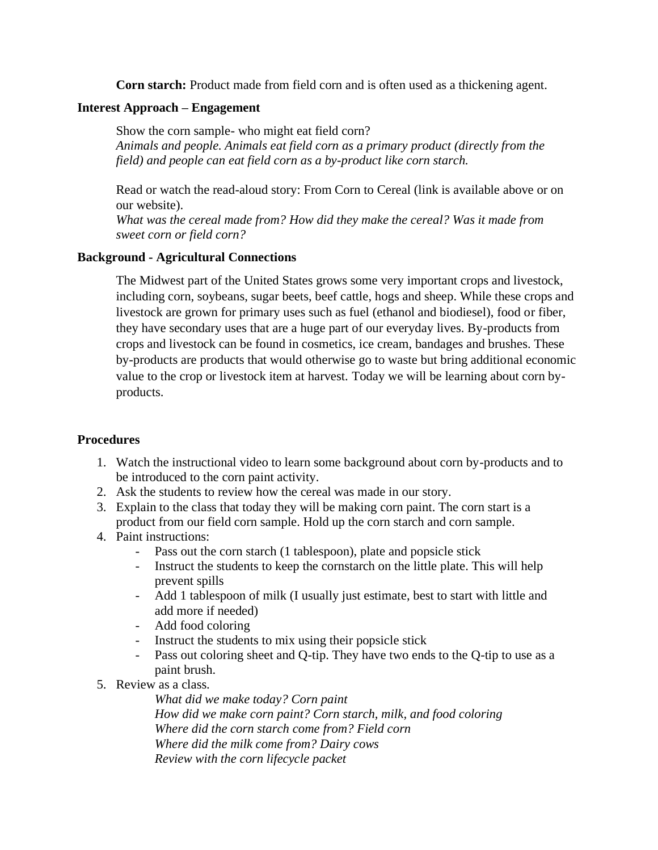**Corn starch:** Product made from field corn and is often used as a thickening agent.

## **Interest Approach – Engagement**

Show the corn sample- who might eat field corn? *Animals and people. Animals eat field corn as a primary product (directly from the field) and people can eat field corn as a by-product like corn starch.* 

Read or watch the read-aloud story: From Corn to Cereal (link is available above or on our website).

*What was the cereal made from? How did they make the cereal? Was it made from sweet corn or field corn?*

# **Background - Agricultural Connections**

The Midwest part of the United States grows some very important crops and livestock, including corn, soybeans, sugar beets, beef cattle, hogs and sheep. While these crops and livestock are grown for primary uses such as fuel (ethanol and biodiesel), food or fiber, they have secondary uses that are a huge part of our everyday lives. By-products from crops and livestock can be found in cosmetics, ice cream, bandages and brushes. These by-products are products that would otherwise go to waste but bring additional economic value to the crop or livestock item at harvest. Today we will be learning about corn byproducts.

# **Procedures**

- 1. Watch the instructional video to learn some background about corn by-products and to be introduced to the corn paint activity.
- 2. Ask the students to review how the cereal was made in our story.
- 3. Explain to the class that today they will be making corn paint. The corn start is a product from our field corn sample. Hold up the corn starch and corn sample.
- 4. Paint instructions:
	- Pass out the corn starch (1 tablespoon), plate and popsicle stick
	- Instruct the students to keep the cornstarch on the little plate. This will help prevent spills
	- Add 1 tablespoon of milk (I usually just estimate, best to start with little and add more if needed)
	- Add food coloring
	- Instruct the students to mix using their popsicle stick
	- Pass out coloring sheet and Q-tip. They have two ends to the Q-tip to use as a paint brush.
- 5. Review as a class.

*What did we make today? Corn paint How did we make corn paint? Corn starch, milk, and food coloring Where did the corn starch come from? Field corn Where did the milk come from? Dairy cows Review with the corn lifecycle packet*